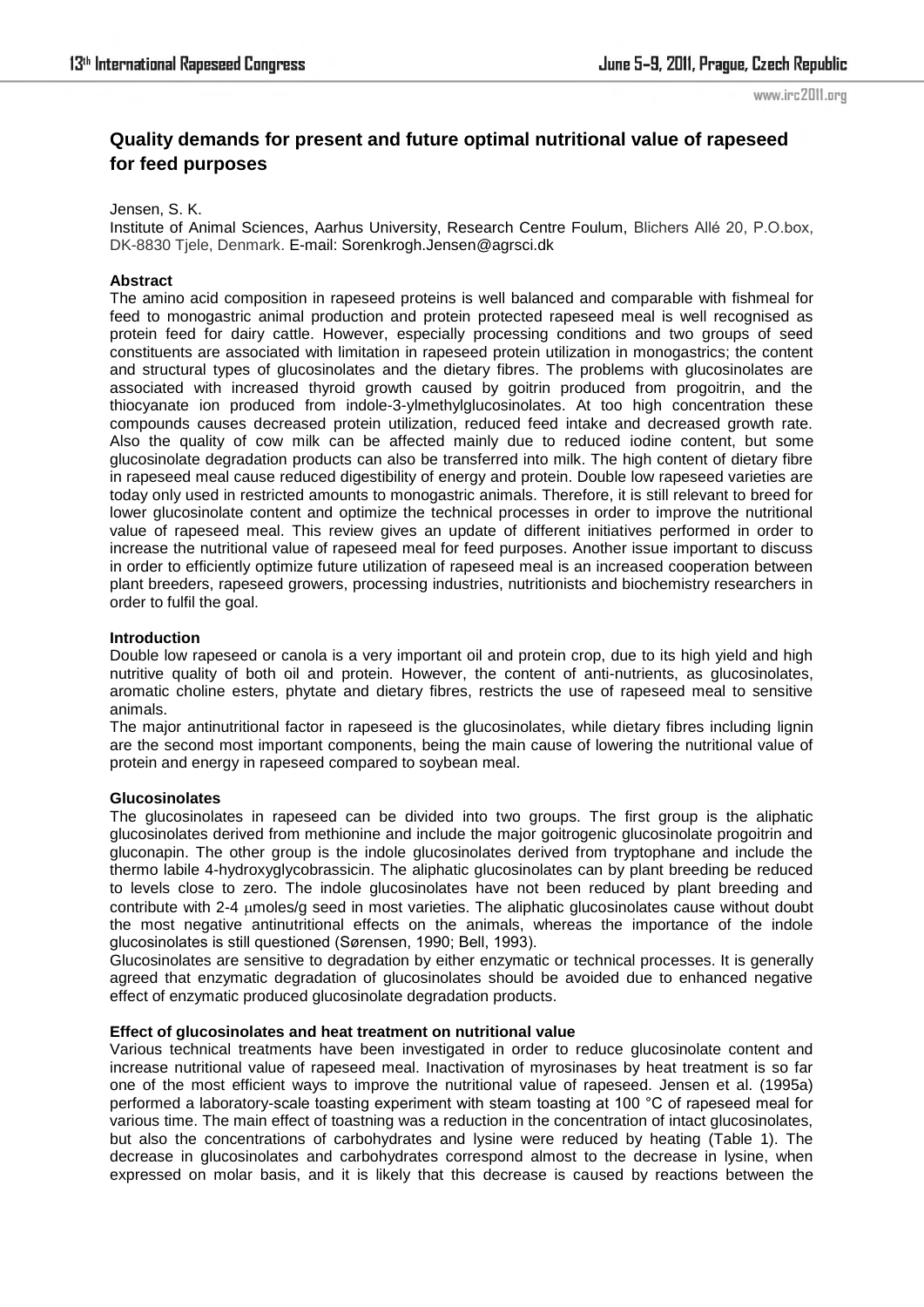# **Quality demands for present and future optimal nutritional value of rapeseed for feed purposes**

### Jensen, S. K.

Institute of Animal Sciences, Aarhus University, Research Centre Foulum, Blichers Allé 20, P.O.box, DK-8830 Tjele, Denmark. E-mail: Sorenkrogh.Jensen@agrsci.dk

### **Abstract**

The amino acid composition in rapeseed proteins is well balanced and comparable with fishmeal for feed to monogastric animal production and protein protected rapeseed meal is well recognised as protein feed for dairy cattle. However, especially processing conditions and two groups of seed constituents are associated with limitation in rapeseed protein utilization in monogastrics; the content and structural types of glucosinolates and the dietary fibres. The problems with glucosinolates are associated with increased thyroid growth caused by goitrin produced from progoitrin, and the thiocyanate ion produced from indole-3-ylmethylglucosinolates. At too high concentration these compounds causes decreased protein utilization, reduced feed intake and decreased growth rate. Also the quality of cow milk can be affected mainly due to reduced iodine content, but some glucosinolate degradation products can also be transferred into milk. The high content of dietary fibre in rapeseed meal cause reduced digestibility of energy and protein. Double low rapeseed varieties are today only used in restricted amounts to monogastric animals. Therefore, it is still relevant to breed for lower glucosinolate content and optimize the technical processes in order to improve the nutritional value of rapeseed meal. This review gives an update of different initiatives performed in order to increase the nutritional value of rapeseed meal for feed purposes. Another issue important to discuss in order to efficiently optimize future utilization of rapeseed meal is an increased cooperation between plant breeders, rapeseed growers, processing industries, nutritionists and biochemistry researchers in order to fulfil the goal.

# **Introduction**

Double low rapeseed or canola is a very important oil and protein crop, due to its high yield and high nutritive quality of both oil and protein. However, the content of anti-nutrients, as glucosinolates, aromatic choline esters, phytate and dietary fibres, restricts the use of rapeseed meal to sensitive animals.

The major antinutritional factor in rapeseed is the glucosinolates, while dietary fibres including lignin are the second most important components, being the main cause of lowering the nutritional value of protein and energy in rapeseed compared to soybean meal.

# **Glucosinolates**

The glucosinolates in rapeseed can be divided into two groups. The first group is the aliphatic glucosinolates derived from methionine and include the major goitrogenic glucosinolate progoitrin and gluconapin. The other group is the indole glucosinolates derived from tryptophane and include the thermo labile 4-hydroxyglycobrassicin. The aliphatic glucosinolates can by plant breeding be reduced to levels close to zero. The indole glucosinolates have not been reduced by plant breeding and contribute with 2-4 moles/g seed in most varieties. The aliphatic glucosinolates cause without doubt the most negative antinutritional effects on the animals, whereas the importance of the indole glucosinolates is still questioned (Sørensen, 1990; Bell, 1993).

Glucosinolates are sensitive to degradation by either enzymatic or technical processes. It is generally agreed that enzymatic degradation of glucosinolates should be avoided due to enhanced negative effect of enzymatic produced glucosinolate degradation products.

### **Effect of glucosinolates and heat treatment on nutritional value**

Various technical treatments have been investigated in order to reduce glucosinolate content and increase nutritional value of rapeseed meal. Inactivation of myrosinases by heat treatment is so far one of the most efficient ways to improve the nutritional value of rapeseed. Jensen et al. (1995a) performed a laboratory-scale toasting experiment with steam toasting at 100 °C of rapeseed meal for various time. The main effect of toastning was a reduction in the concentration of intact glucosinolates, but also the concentrations of carbohydrates and lysine were reduced by heating (Table 1). The decrease in glucosinolates and carbohydrates correspond almost to the decrease in lysine, when expressed on molar basis, and it is likely that this decrease is caused by reactions between the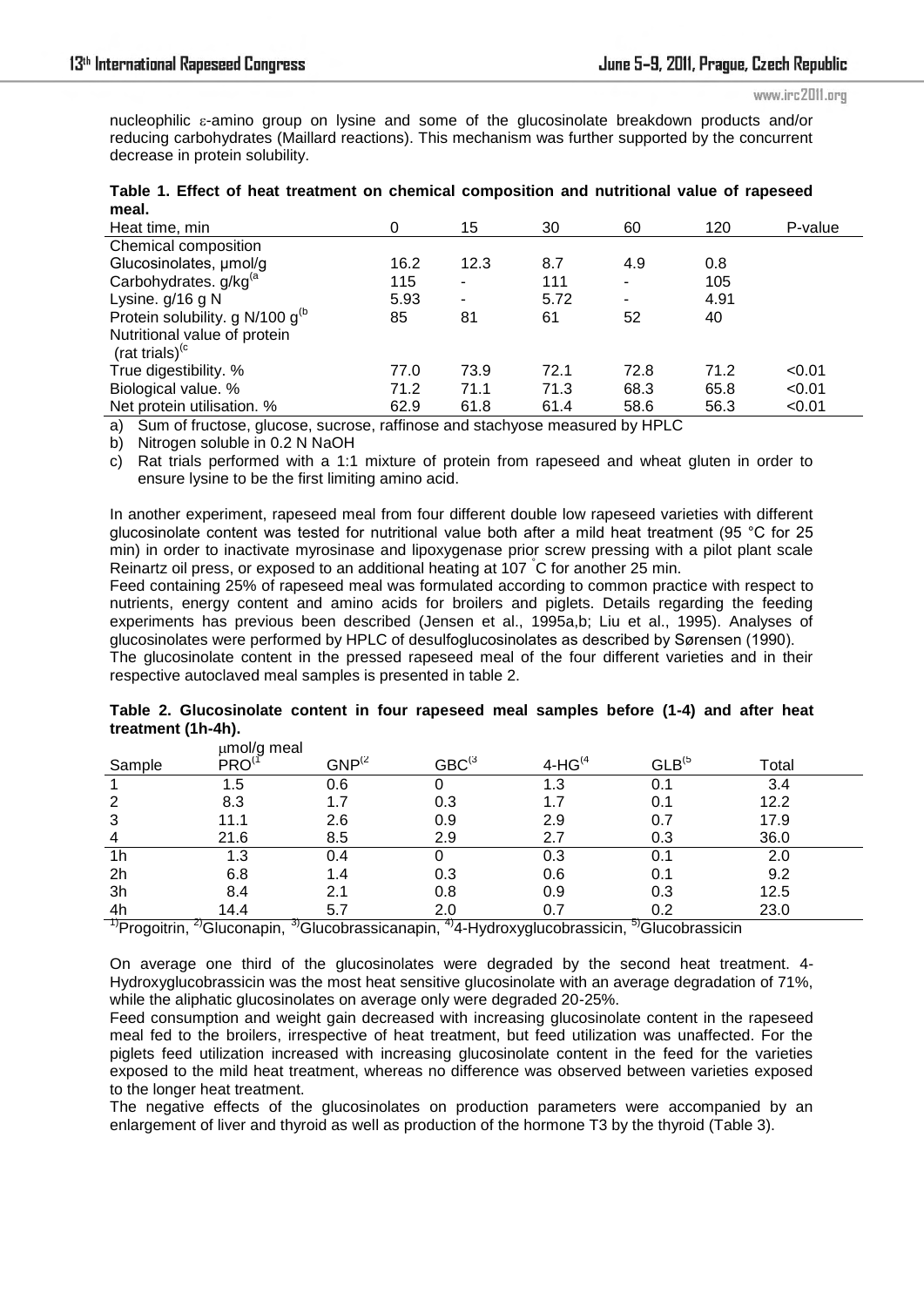#### www.irc2011.org

nucleophilic  $\varepsilon$ -amino group on lysine and some of the glucosinolate breakdown products and/or reducing carbohydrates (Maillard reactions). This mechanism was further supported by the concurrent decrease in protein solubility.

| meal.                                 |      |                |      |      |      |         |
|---------------------------------------|------|----------------|------|------|------|---------|
| Heat time, min                        | 0    | 15             | 30   | 60   | 120  | P-value |
| Chemical composition                  |      |                |      |      |      |         |
| Glucosinolates, umol/g                | 16.2 | 12.3           | 8.7  | 4.9  | 0.8  |         |
| Carbohydrates. g/kg <sup>(a</sup>     | 115  |                | 111  | ۰    | 105  |         |
| Lysine. g/16 g N                      | 5.93 | $\blacksquare$ | 5.72 | ۰    | 4.91 |         |
| Protein solubility. g N/100 $q^{(b)}$ | 85   | 81             | 61   | 52   | 40   |         |
| Nutritional value of protein          |      |                |      |      |      |         |
| (rat trials) $\rm^{(c)}$              |      |                |      |      |      |         |
| True digestibility. %                 | 77.0 | 73.9           | 72.1 | 72.8 | 71.2 | < 0.01  |
| Biological value. %                   | 71.2 | 71.1           | 71.3 | 68.3 | 65.8 | < 0.01  |
| Net protein utilisation. %            | 62.9 | 61.8           | 61.4 | 58.6 | 56.3 | < 0.01  |
|                                       |      |                |      |      |      |         |

|       |  |  |  | Table 1. Effect of heat treatment on chemical composition and nutritional value of rapeseed |  |  |
|-------|--|--|--|---------------------------------------------------------------------------------------------|--|--|
| meal. |  |  |  |                                                                                             |  |  |

a) Sum of fructose, glucose, sucrose, raffinose and stachyose measured by HPLC

b) Nitrogen soluble in 0.2 N NaOH

c) Rat trials performed with a 1:1 mixture of protein from rapeseed and wheat gluten in order to ensure lysine to be the first limiting amino acid.

In another experiment, rapeseed meal from four different double low rapeseed varieties with different glucosinolate content was tested for nutritional value both after a mild heat treatment (95 °C for 25 min) in order to inactivate myrosinase and lipoxygenase prior screw pressing with a pilot plant scale Reinartz oil press, or exposed to an additional heating at 107 °C for another 25 min.

Feed containing 25% of rapeseed meal was formulated according to common practice with respect to nutrients, energy content and amino acids for broilers and piglets. Details regarding the feeding experiments has previous been described (Jensen et al., 1995a,b; Liu et al., 1995). Analyses of glucosinolates were performed by HPLC of desulfoglucosinolates as described by Sørensen (1990).

The glucosinolate content in the pressed rapeseed meal of the four different varieties and in their respective autoclaved meal samples is presented in table 2.

|  | Table 2. Glucosinolate content in four rapeseed meal samples before (1-4) and after heat |  |  |  |  |  |  |
|--|------------------------------------------------------------------------------------------|--|--|--|--|--|--|
|  | treatment (1h-4h).                                                                       |  |  |  |  |  |  |
|  | umol/a meel                                                                              |  |  |  |  |  |  |

|                | µmoi/g meal |             |                          |           |                    |       |  |
|----------------|-------------|-------------|--------------------------|-----------|--------------------|-------|--|
| Sample         | PRO         | $GNP^{(2)}$ | ${\rm GBC}^{(3)}$        | $4-HG(4)$ | GLB <sup>(5)</sup> | Total |  |
|                | 1.5         | 0.6         |                          | 1.3       |                    | 3.4   |  |
|                | 8.3         |             | 0.3                      | 1.7       | 0.1                | 12.2  |  |
| 3              | 11.1        | 2.6         | 0.9                      | 2.9       | 0.7                | 17.9  |  |
| 4              | 21.6        | 8.5         | 2.9                      | 2.7       | 0.3                | 36.0  |  |
| 1 <sub>h</sub> | 1.3         | 0.4         |                          | 0.3       | 0.1                | 2.0   |  |
| 2h             | 6.8         | 1.4         | 0.3                      | 0.6       | 0.1                | 9.2   |  |
| 3h             | 8.4         | 2.1         | 0.8                      | 0.9       | 0.3                | 12.5  |  |
| 4h             | 14.4        | 5.7         | 2.0                      | 0.7       | 0.2                | 23.0  |  |
| ᠇              | $\sim$      | $\sim$      | $\overline{\phantom{a}}$ |           | $\overline{E}$     |       |  |

<sup>1)</sup>Progoitrin, <sup>2)</sup>Gluconapin, <sup>3)</sup>Glucobrassicanapin, <sup>4)</sup>4-Hydroxyglucobrassicin, <sup>5)</sup>Glucobrassicin

On average one third of the glucosinolates were degraded by the second heat treatment. 4- Hydroxyglucobrassicin was the most heat sensitive glucosinolate with an average degradation of 71%, while the aliphatic glucosinolates on average only were degraded 20-25%.

Feed consumption and weight gain decreased with increasing glucosinolate content in the rapeseed meal fed to the broilers, irrespective of heat treatment, but feed utilization was unaffected. For the piglets feed utilization increased with increasing glucosinolate content in the feed for the varieties exposed to the mild heat treatment, whereas no difference was observed between varieties exposed to the longer heat treatment.

The negative effects of the glucosinolates on production parameters were accompanied by an enlargement of liver and thyroid as well as production of the hormone T3 by the thyroid (Table 3).